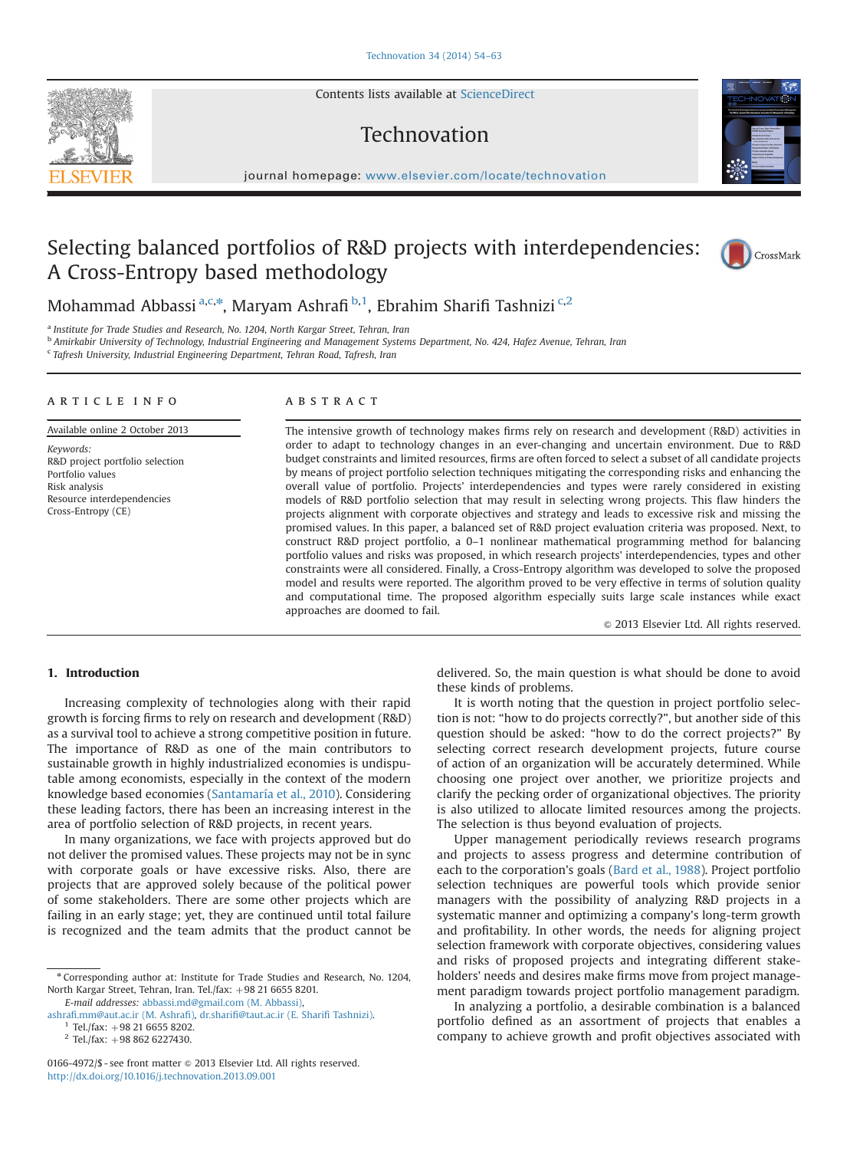Contents lists available at [ScienceDirect](www.sciencedirect.com/science/journal/01664972)

# Technovation

journal homepage: <www.elsevier.com/locate/technovation>.com/locate/technolocate/technolocate/technolocate/technovation.com/locate/technovation.com/locate/technovation.com/locate/technovation.com/locate/technovation.com/loc

## Selecting balanced portfolios of R&D projects with interdependencies: A Cross-Entropy based methodology



<sup>a</sup> Institute for Trade Studies and Research, No. 1204, North Kargar Street, Tehran, Iran

<sup>b</sup> Amirkabir University of Technology, Industrial Engineering and Management Systems Department, No. 424, Hafez Avenue, Tehran, Iran

 $\,^{\mathrm{c}}$  Tafresh University, Industrial Engineering Department, Tehran Road, Tafresh, Iran

#### article info

Available online 2 October 2013 Keywords: R&D project portfolio selection Portfolio values Risk analysis Resource interdependencies Cross-Entropy (CE)

#### **ABSTRACT**

The intensive growth of technology makes firms rely on research and development (R&D) activities in order to adapt to technology changes in an ever-changing and uncertain environment. Due to R&D budget constraints and limited resources, firms are often forced to select a subset of all candidate projects by means of project portfolio selection techniques mitigating the corresponding risks and enhancing the overall value of portfolio. Projects' interdependencies and types were rarely considered in existing models of R&D portfolio selection that may result in selecting wrong projects. This flaw hinders the projects alignment with corporate objectives and strategy and leads to excessive risk and missing the promised values. In this paper, a balanced set of R&D project evaluation criteria was proposed. Next, to construct R&D project portfolio, a 0–1 nonlinear mathematical programming method for balancing portfolio values and risks was proposed, in which research projects' interdependencies, types and other constraints were all considered. Finally, a Cross-Entropy algorithm was developed to solve the proposed model and results were reported. The algorithm proved to be very effective in terms of solution quality and computational time. The proposed algorithm especially suits large scale instances while exact approaches are doomed to fail.

 $©$  2013 Elsevier Ltd. All rights reserved.

## 1. Introduction

Increasing complexity of technologies along with their rapid growth is forcing firms to rely on research and development (R&D) as a survival tool to achieve a strong competitive position in future. The importance of R&D as one of the main contributors to sustainable growth in highly industrialized economies is undisputable among economists, especially in the context of the modern knowledge based economies [\(Santamaría et al., 2010](#page--1-0)). Considering these leading factors, there has been an increasing interest in the area of portfolio selection of R&D projects, in recent years.

In many organizations, we face with projects approved but do not deliver the promised values. These projects may not be in sync with corporate goals or have excessive risks. Also, there are projects that are approved solely because of the political power of some stakeholders. There are some other projects which are failing in an early stage; yet, they are continued until total failure is recognized and the team admits that the product cannot be

E-mail addresses: [abbassi.md@gmail.com \(M. Abbassi\),](mailto:abbassi.md@gmail.com)

delivered. So, the main question is what should be done to avoid these kinds of problems.

It is worth noting that the question in project portfolio selection is not: "how to do projects correctly?", but another side of this question should be asked: "how to do the correct projects?" By selecting correct research development projects, future course of action of an organization will be accurately determined. While choosing one project over another, we prioritize projects and clarify the pecking order of organizational objectives. The priority is also utilized to allocate limited resources among the projects. The selection is thus beyond evaluation of projects.

Upper management periodically reviews research programs and projects to assess progress and determine contribution of each to the corporation's goals [\(Bard et al., 1988\)](#page--1-0). Project portfolio selection techniques are powerful tools which provide senior managers with the possibility of analyzing R&D projects in a systematic manner and optimizing a company's long-term growth and profitability. In other words, the needs for aligning project selection framework with corporate objectives, considering values and risks of proposed projects and integrating different stakeholders' needs and desires make firms move from project management paradigm towards project portfolio management paradigm.

In analyzing a portfolio, a desirable combination is a balanced portfolio defined as an assortment of projects that enables a company to achieve growth and profit objectives associated with





CrossMark

<sup>n</sup> Corresponding author at: Institute for Trade Studies and Research, No. 1204, North Kargar Street, Tehran, Iran. Tel./fax: +98 21 6655 8201.

ashrafi[.mm@aut.ac.ir \(M. Ashra](mailto:ashrafi.mm@aut.ac.ir)fi), dr.sharifi[@taut.ac.ir \(E. Shari](mailto:dr.sharifi@taut.ac.ir)fi Tashnizi). <sup>1</sup> Tel./fax:  $+98$  21 6655 8202.<br><sup>2</sup> Tel./fax:  $+98$  862 6227430.

<sup>0166-4972/\$ -</sup> see front matter @ 2013 Elsevier Ltd. All rights reserved. <http://dx.doi.org/10.1016/j.technovation.2013.09.001>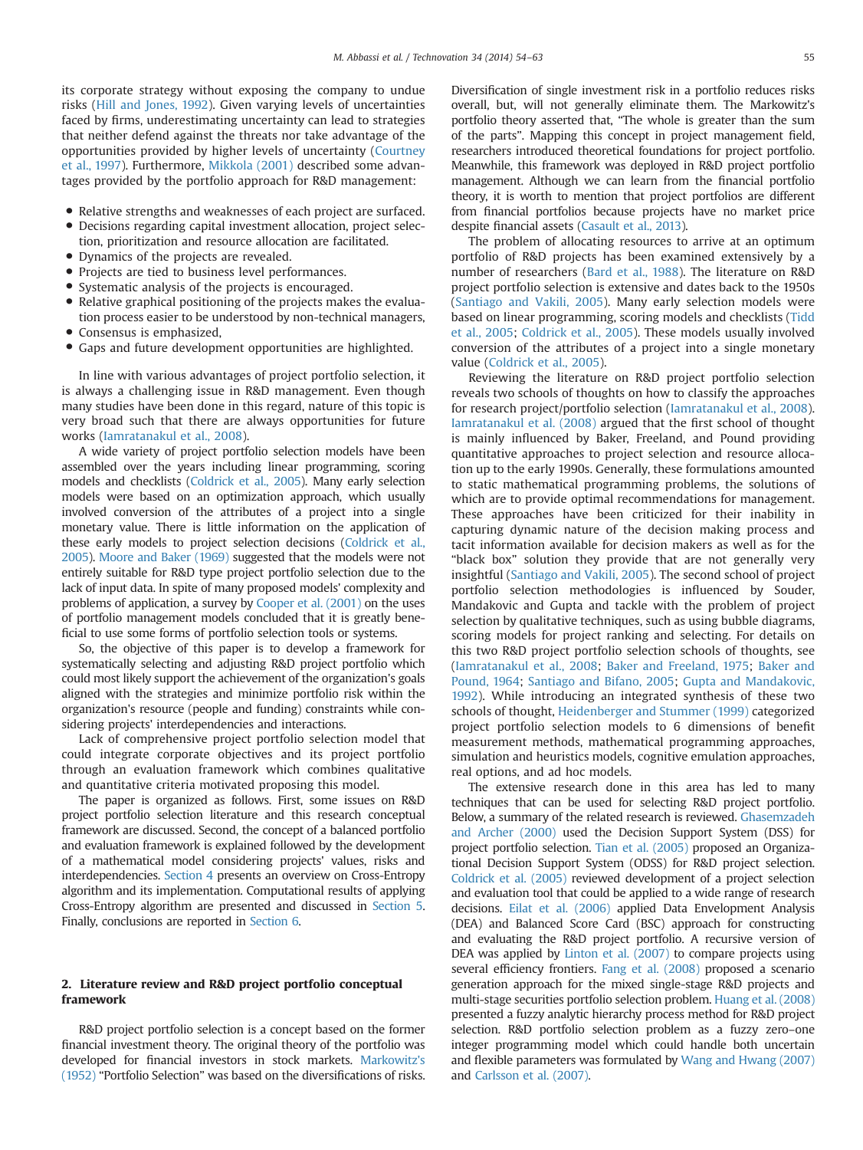its corporate strategy without exposing the company to undue risks ([Hill and Jones, 1992\)](#page--1-0). Given varying levels of uncertainties faced by firms, underestimating uncertainty can lead to strategies that neither defend against the threats nor take advantage of the opportunities provided by higher levels of uncertainty ([Courtney](#page--1-0) [et al., 1997\)](#page--1-0). Furthermore, [Mikkola \(2001\)](#page--1-0) described some advantages provided by the portfolio approach for R&D management:

- Relative strengths and weaknesses of each project are surfaced.
- $\bullet$ Decisions regarding capital investment allocation, project selec-
- tion, prioritization and resource allocation are facilitated.
- Dynamics of the projects are revealed.
- Projects are tied to business level performances.
- $\bullet$ -Systematic analysis of the projects is encouraged.
- Relative graphical positioning of the projects makes the evaluation process easier to be understood by non-technical managers,
- Consensus is emphasized,
- - $\bullet$  Gaps and future development opportunities are highlighted.

In line with various advantages of project portfolio selection, it is always a challenging issue in R&D management. Even though many studies have been done in this regard, nature of this topic is very broad such that there are always opportunities for future works ([Iamratanakul et al., 2008](#page--1-0)).

A wide variety of project portfolio selection models have been assembled over the years including linear programming, scoring models and checklists ([Coldrick et al., 2005\)](#page--1-0). Many early selection models were based on an optimization approach, which usually involved conversion of the attributes of a project into a single monetary value. There is little information on the application of these early models to project selection decisions [\(Coldrick et al.,](#page--1-0) [2005](#page--1-0)). [Moore and Baker \(1969\)](#page--1-0) suggested that the models were not entirely suitable for R&D type project portfolio selection due to the lack of input data. In spite of many proposed models' complexity and problems of application, a survey by [Cooper et al. \(2001\)](#page--1-0) on the uses of portfolio management models concluded that it is greatly beneficial to use some forms of portfolio selection tools or systems.

So, the objective of this paper is to develop a framework for systematically selecting and adjusting R&D project portfolio which could most likely support the achievement of the organization's goals aligned with the strategies and minimize portfolio risk within the organization's resource (people and funding) constraints while considering projects' interdependencies and interactions.

Lack of comprehensive project portfolio selection model that could integrate corporate objectives and its project portfolio through an evaluation framework which combines qualitative and quantitative criteria motivated proposing this model.

The paper is organized as follows. First, some issues on R&D project portfolio selection literature and this research conceptual framework are discussed. Second, the concept of a balanced portfolio and evaluation framework is explained followed by the development of a mathematical model considering projects' values, risks and interdependencies. [Section 4](#page--1-0) presents an overview on Cross-Entropy algorithm and its implementation. Computational results of applying Cross-Entropy algorithm are presented and discussed in [Section 5.](#page--1-0) Finally, conclusions are reported in [Section 6](#page--1-0).

## 2. Literature review and R&D project portfolio conceptual framework

R&D project portfolio selection is a concept based on the former financial investment theory. The original theory of the portfolio was developed for financial investors in stock markets. [Markowitz's](#page--1-0) [\(1952\)](#page--1-0) "Portfolio Selection" was based on the diversifications of risks. Diversification of single investment risk in a portfolio reduces risks overall, but, will not generally eliminate them. The Markowitz's portfolio theory asserted that, "The whole is greater than the sum of the parts". Mapping this concept in project management field, researchers introduced theoretical foundations for project portfolio. Meanwhile, this framework was deployed in R&D project portfolio management. Although we can learn from the financial portfolio theory, it is worth to mention that project portfolios are different from financial portfolios because projects have no market price despite financial assets [\(Casault et al., 2013](#page--1-0)).

The problem of allocating resources to arrive at an optimum portfolio of R&D projects has been examined extensively by a number of researchers [\(Bard et al., 1988\)](#page--1-0). The literature on R&D project portfolio selection is extensive and dates back to the 1950s ([Santiago and Vakili, 2005\)](#page--1-0). Many early selection models were based on linear programming, scoring models and checklists ([Tidd](#page--1-0) [et al., 2005](#page--1-0); [Coldrick et al., 2005](#page--1-0)). These models usually involved conversion of the attributes of a project into a single monetary value ([Coldrick et al., 2005](#page--1-0)).

Reviewing the literature on R&D project portfolio selection reveals two schools of thoughts on how to classify the approaches for research project/portfolio selection ([Iamratanakul et al., 2008\)](#page--1-0). [Iamratanakul et al. \(2008\)](#page--1-0) argued that the first school of thought is mainly influenced by Baker, Freeland, and Pound providing quantitative approaches to project selection and resource allocation up to the early 1990s. Generally, these formulations amounted to static mathematical programming problems, the solutions of which are to provide optimal recommendations for management. These approaches have been criticized for their inability in capturing dynamic nature of the decision making process and tacit information available for decision makers as well as for the "black box" solution they provide that are not generally very insightful ([Santiago and Vakili, 2005](#page--1-0)). The second school of project portfolio selection methodologies is influenced by Souder, Mandakovic and Gupta and tackle with the problem of project selection by qualitative techniques, such as using bubble diagrams, scoring models for project ranking and selecting. For details on this two R&D project portfolio selection schools of thoughts, see ([Iamratanakul et al., 2008](#page--1-0); [Baker and Freeland, 1975](#page--1-0); [Baker and](#page--1-0) [Pound, 1964;](#page--1-0) [Santiago and Bifano, 2005;](#page--1-0) [Gupta and Mandakovic,](#page--1-0) [1992](#page--1-0)). While introducing an integrated synthesis of these two schools of thought, [Heidenberger and Stummer \(1999\)](#page--1-0) categorized project portfolio selection models to 6 dimensions of benefit measurement methods, mathematical programming approaches, simulation and heuristics models, cognitive emulation approaches, real options, and ad hoc models.

The extensive research done in this area has led to many techniques that can be used for selecting R&D project portfolio. Below, a summary of the related research is reviewed. [Ghasemzadeh](#page--1-0) [and Archer \(2000\)](#page--1-0) used the Decision Support System (DSS) for project portfolio selection. [Tian et al. \(2005\)](#page--1-0) proposed an Organizational Decision Support System (ODSS) for R&D project selection. [Coldrick et al. \(2005\)](#page--1-0) reviewed development of a project selection and evaluation tool that could be applied to a wide range of research decisions. [Eilat et al. \(2006\)](#page--1-0) applied Data Envelopment Analysis (DEA) and Balanced Score Card (BSC) approach for constructing and evaluating the R&D project portfolio. A recursive version of DEA was applied by [Linton et al. \(2007\)](#page--1-0) to compare projects using several efficiency frontiers. [Fang et al. \(2008\)](#page--1-0) proposed a scenario generation approach for the mixed single-stage R&D projects and multi-stage securities portfolio selection problem. [Huang et al. \(2008\)](#page--1-0) presented a fuzzy analytic hierarchy process method for R&D project selection. R&D portfolio selection problem as a fuzzy zero–one integer programming model which could handle both uncertain and flexible parameters was formulated by [Wang and Hwang \(2007\)](#page--1-0) and [Carlsson et al. \(2007\)](#page--1-0).